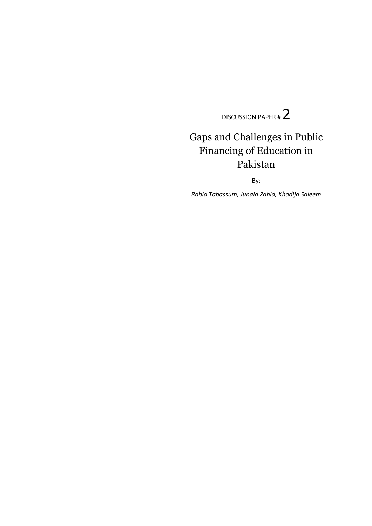# DISCUSSION PAPER # 2

# Gaps and Challenges in Public Financing of Education in Pakistan

By:

*Rabia Tabassum, Junaid Zahid, Khadija Saleem*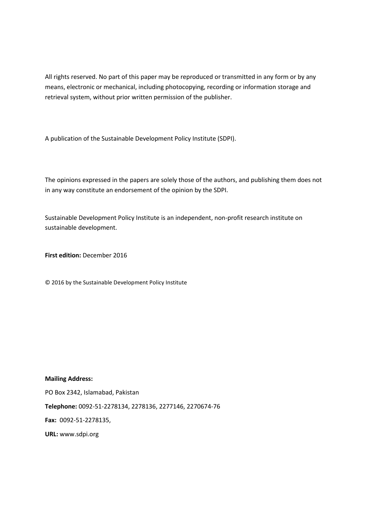All rights reserved. No part of this paper may be reproduced or transmitted in any form or by any means, electronic or mechanical, including photocopying, recording or information storage and retrieval system, without prior written permission of the publisher.

A publication of the Sustainable Development Policy Institute (SDPI).

The opinions expressed in the papers are solely those of the authors, and publishing them does not in any way constitute an endorsement of the opinion by the SDPI.

Sustainable Development Policy Institute is an independent, non-profit research institute on sustainable development.

**First edition:** December 2016

© 2016 by the Sustainable Development Policy Institute

**Mailing Address:** PO Box 2342, Islamabad, Pakistan **Telephone:** 0092-51-2278134, 2278136, 2277146, 2270674-76 **Fax:** 0092-51-2278135, **URL:** www.sdpi.org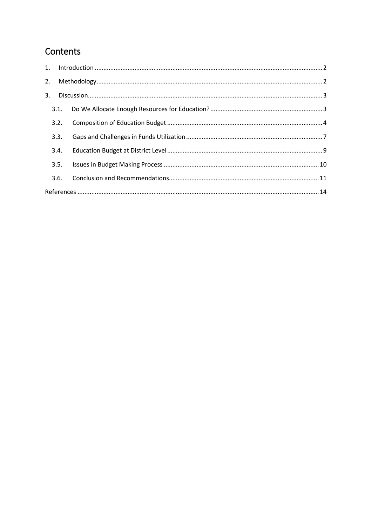## Contents

| 2. |      |  |  |  |  |  |
|----|------|--|--|--|--|--|
| 3. |      |  |  |  |  |  |
|    |      |  |  |  |  |  |
|    | 3.2. |  |  |  |  |  |
|    | 3.3. |  |  |  |  |  |
|    | 3.4. |  |  |  |  |  |
|    | 3.5. |  |  |  |  |  |
|    | 3.6. |  |  |  |  |  |
|    |      |  |  |  |  |  |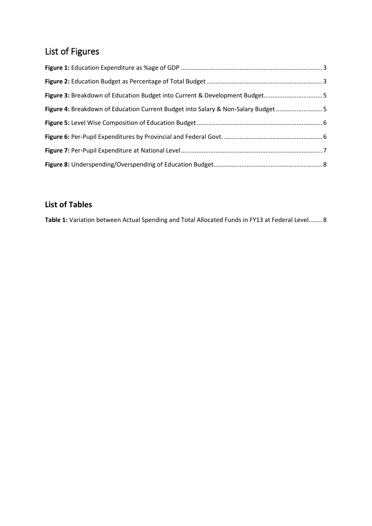# List of Figures

| Figure 3: Breakdown of Education Budget into Current & Development Budget5        |  |
|-----------------------------------------------------------------------------------|--|
| Figure 4: Breakdown of Education Current Budget into Salary & Non-Salary Budget 5 |  |
|                                                                                   |  |
|                                                                                   |  |
|                                                                                   |  |
|                                                                                   |  |

## **List of Tables**

**Table 1:** [Variation between Actual Spending and Total Allocated Funds in FY13 at Federal Level........8](#page-12-1)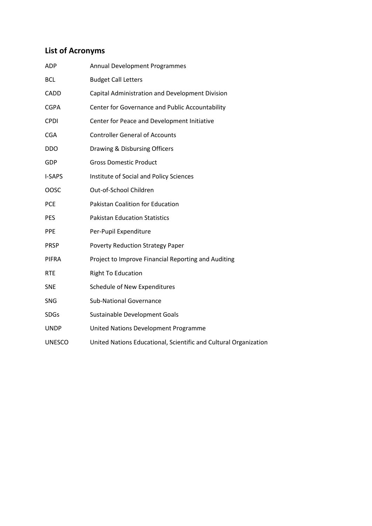## **List of Acronyms**

| <b>ADP</b>    | <b>Annual Development Programmes</b>                             |
|---------------|------------------------------------------------------------------|
| <b>BCL</b>    | <b>Budget Call Letters</b>                                       |
| CADD          | Capital Administration and Development Division                  |
| <b>CGPA</b>   | Center for Governance and Public Accountability                  |
| <b>CPDI</b>   | Center for Peace and Development Initiative                      |
| <b>CGA</b>    | <b>Controller General of Accounts</b>                            |
| <b>DDO</b>    | Drawing & Disbursing Officers                                    |
| GDP           | <b>Gross Domestic Product</b>                                    |
| I-SAPS        | Institute of Social and Policy Sciences                          |
| <b>OOSC</b>   | Out-of-School Children                                           |
| <b>PCE</b>    | Pakistan Coalition for Education                                 |
| <b>PES</b>    | <b>Pakistan Education Statistics</b>                             |
| <b>PPE</b>    | Per-Pupil Expenditure                                            |
| <b>PRSP</b>   | Poverty Reduction Strategy Paper                                 |
| <b>PIFRA</b>  | Project to Improve Financial Reporting and Auditing              |
| <b>RTE</b>    | <b>Right To Education</b>                                        |
| <b>SNE</b>    | Schedule of New Expenditures                                     |
| SNG           | <b>Sub-National Governance</b>                                   |
| <b>SDGs</b>   | Sustainable Development Goals                                    |
| <b>UNDP</b>   | United Nations Development Programme                             |
| <b>UNESCO</b> | United Nations Educational, Scientific and Cultural Organization |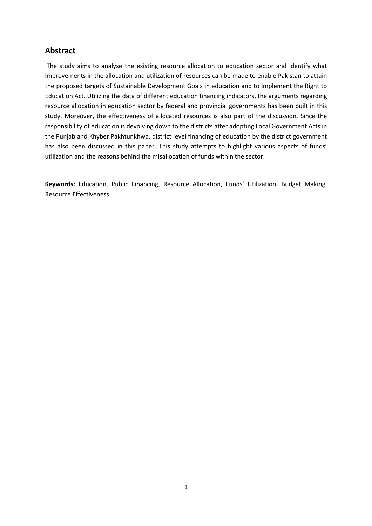### **Abstract**

The study aims to analyse the existing resource allocation to education sector and identify what improvements in the allocation and utilization of resources can be made to enable Pakistan to attain the proposed targets of Sustainable Development Goals in education and to implement the Right to Education Act. Utilizing the data of different education financing indicators, the arguments regarding resource allocation in education sector by federal and provincial governments has been built in this study. Moreover, the effectiveness of allocated resources is also part of the discussion. Since the responsibility of education is devolving down to the districts after adopting Local Government Acts in the Punjab and Khyber Pakhtunkhwa, district level financing of education by the district government has also been discussed in this paper. This study attempts to highlight various aspects of funds' utilization and the reasons behind the misallocation of funds within the sector.

**Keywords:** Education, Public Financing, Resource Allocation, Funds' Utilization, Budget Making, Resource Effectiveness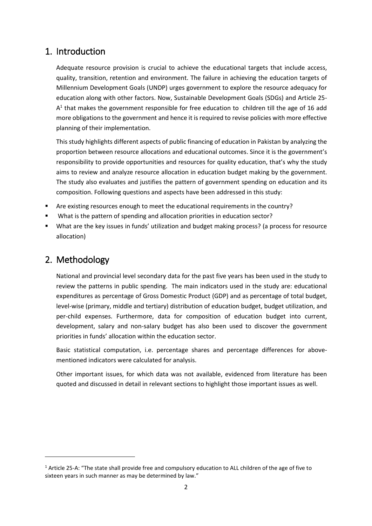## <span id="page-6-0"></span>1. Introduction

Adequate resource provision is crucial to achieve the educational targets that include access, quality, transition, retention and environment. The failure in achieving the education targets of Millennium Development Goals (UNDP) urges government to explore the resource adequacy for education along with other factors. Now, Sustainable Development Goals (SDGs) and Article 25-  $A<sup>1</sup>$  that makes the government responsible for free education to children till the age of 16 add more obligations to the government and hence it is required to revise policies with more effective planning of their implementation.

This study highlights different aspects of public financing of education in Pakistan by analyzing the proportion between resource allocations and educational outcomes. Since it is the government's responsibility to provide opportunities and resources for quality education, that's why the study aims to review and analyze resource allocation in education budget making by the government. The study also evaluates and justifies the pattern of government spending on education and its composition. Following questions and aspects have been addressed in this study:

- Are existing resources enough to meet the educational requirements in the country?
- What is the pattern of spending and allocation priorities in education sector?
- What are the key issues in funds' utilization and budget making process? (a process for resource allocation)

## <span id="page-6-1"></span>2. Methodology

**.** 

National and provincial level secondary data for the past five years has been used in the study to review the patterns in public spending. The main indicators used in the study are: educational expenditures as percentage of Gross Domestic Product (GDP) and as percentage of total budget, level-wise (primary, middle and tertiary) distribution of education budget, budget utilization, and per-child expenses. Furthermore, data for composition of education budget into current, development, salary and non-salary budget has also been used to discover the government priorities in funds' allocation within the education sector.

Basic statistical computation, i.e. percentage shares and percentage differences for abovementioned indicators were calculated for analysis.

Other important issues, for which data was not available, evidenced from literature has been quoted and discussed in detail in relevant sections to highlight those important issues as well.

<sup>1</sup> Article 25-A: "The state shall provide free and compulsory education to ALL children of the age of five to sixteen years in such manner as may be determined by law."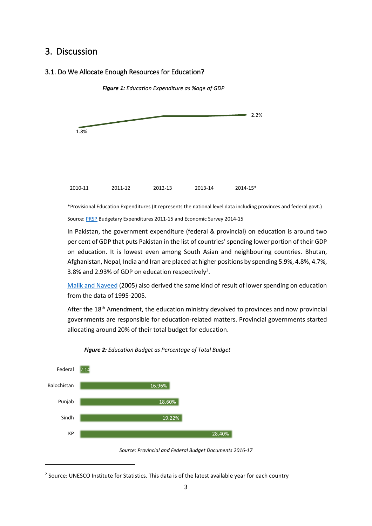## <span id="page-7-0"></span>3. Discussion



#### <span id="page-7-1"></span>3.1. Do We Allocate Enough Resources for Education?

\*Provisional Education Expenditures (It represents the national level data including provinces and federal govt.)

Source[: PRSP](http://www.finance.gov.pk/prsp_report.html) Budgetary Expenditures 2011-15 and Economic Survey 2014-15

In Pakistan, the government expenditure (federal & provincial) on education is around two per cent of GDP that puts Pakistan in the list of countries' spending lower portion of their GDP on education. It is lowest even among South Asian and neighbouring countries. Bhutan, Afghanistan, Nepal, India and Iran are placed at higher positions by spending 5.9%, 4.8%, 4.7%, 3.8% and 2.93% of GDP on education respectively<sup>2</sup>.

[Malik and Naveed](http://ceid.educ.cam.ac.uk/researchprogrammes/recoup/publications/workingpapers/WP42_RECOUP_Pakistan_financing_paper.pdf) (2005) also derived the same kind of result of lower spending on education from the data of 1995-2005.

After the 18<sup>th</sup> Amendment, the education ministry devolved to provinces and now provincial governments are responsible for education-related matters. Provincial governments started allocating around 20% of their total budget for education.



1

*Figure 2: Education Budget as Percentage of Total Budget*

*Source: Provincial and Federal Budget Documents 2016-17*

<sup>&</sup>lt;sup>2</sup> Source: UNESCO Institute for Statistics. This data is of the latest available year for each country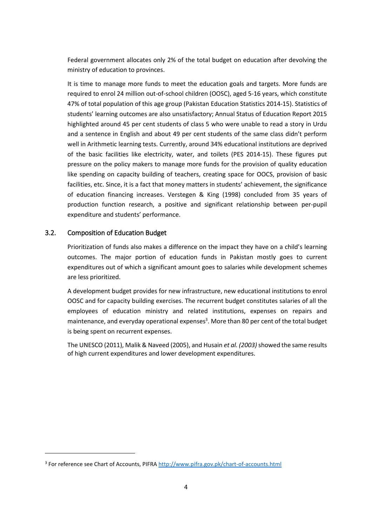Federal government allocates only 2% of the total budget on education after devolving the ministry of education to provinces.

It is time to manage more funds to meet the education goals and targets. More funds are required to enrol 24 million out-of-school children (OOSC), aged 5-16 years, which constitute 47% of total population of this age group (Pakistan Education Statistics 2014-15). Statistics of students' learning outcomes are also unsatisfactory; Annual Status of Education Report 2015 highlighted around 45 per cent students of class 5 who were unable to read a story in Urdu and a sentence in English and about 49 per cent students of the same class didn't perform well in Arithmetic learning tests. Currently, around 34% educational institutions are deprived of the basic facilities like electricity, water, and toilets (PES 2014-15). These figures put pressure on the policy makers to manage more funds for the provision of quality education like spending on capacity building of teachers, creating space for OOCS, provision of basic facilities, etc. Since, it is a fact that money matters in students' achievement, the significance of education financing increases. Verstegen & King (1998) concluded from 35 years of production function research, a positive and significant relationship between per-pupil expenditure and students' performance.

### <span id="page-8-0"></span>3.2. Composition of Education Budget

**.** 

Prioritization of funds also makes a difference on the impact they have on a child's learning outcomes. The major portion of education funds in Pakistan mostly goes to current expenditures out of which a significant amount goes to salaries while development schemes are less prioritized.

A development budget provides for new infrastructure, new educational institutions to enrol OOSC and for capacity building exercises. The recurrent budget constitutes salaries of all the employees of education ministry and related institutions, expenses on repairs and maintenance, and everyday operational expenses<sup>3</sup>. More than 80 per cent of the total budget is being spent on recurrent expenses.

The UNESCO [\(2011\)](http://unesco.org.pk/education/documents/publications/Macro_Trends_in_Financing_of_Education.pdf), Malik & Naveed (2005), and Husain *et al. [\(2003\)](http://pide.org.pk/pdr/index.php/pdr/article/viewFile/1982/1955)* showed the same results of high current expenditures and lower development expenditures.

<sup>&</sup>lt;sup>3</sup> For reference see Chart of Accounts, PIFRA<http://www.pifra.gov.pk/chart-of-accounts.html>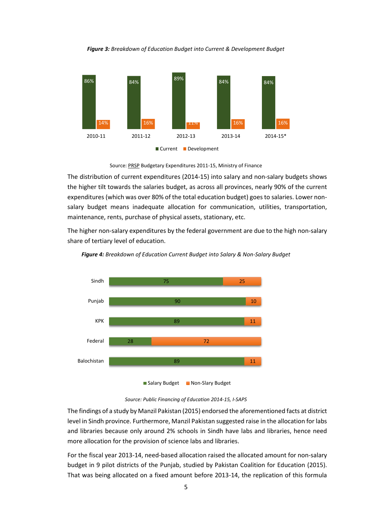*Figure 3: Breakdown of Education Budget into Current & Development Budget*

<span id="page-9-0"></span>

Source[: PRSP](http://www.finance.gov.pk/prsp_report.html) Budgetary Expenditures 2011-15, Ministry of Finance

The distribution of current expenditures (2014-15) into salary and non-salary budgets shows the higher tilt towards the salaries budget, as across all provinces, nearly 90% of the current expenditures (which was over 80% of the total education budget) goes to salaries. Lower nonsalary budget means inadequate allocation for communication, utilities, transportation, maintenance, rents, purchase of physical assets, stationary, etc.

The higher non-salary expenditures by the federal government are due to the high non-salary share of tertiary level of education.



<span id="page-9-1"></span>

*Source: Public Financing of Education 2014-15, I-SAPS*

The findings of a study by Manzil Pakistan [\(2015\)](http://www.manzilpakistan.org/SindhEducationReport-Final.pdf) endorsed the aforementioned facts at district level in Sindh province. Furthermore, Manzil Pakistan suggested raise in the allocation for labs and libraries because only around 2% schools in Sindh have labs and libraries, hence need more allocation for the provision of science labs and libraries.

For the fiscal year 2013-14, need-based allocation raised the allocated amount for non-salary budget in 9 pilot districts of the Punjab, studied by Pakistan Coalition for Education (2015). That was being allocated on a fixed amount before 2013-14, the replication of this formula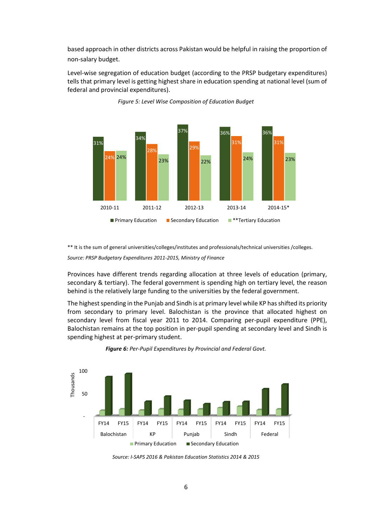based approach in other districts across Pakistan would be helpful in raising the proportion of non-salary budget.

<span id="page-10-0"></span>Level-wise segregation of education budget (according to the PRSP budgetary expenditures) tells that primary level is getting highest share in education spending at national level (sum of federal and provincial expenditures).



*Figure 5: Level Wise Composition of Education Budget*

\*\* It is the sum of general universities/colleges/institutes and professionals/technical universities /colleges.

*Source: [PRSP](http://www.finance.gov.pk/prsp_report.html) Budgetary Expenditures 2011-2015, Ministry of Finance*

Provinces have different trends regarding allocation at three levels of education (primary, secondary & tertiary). The federal government is spending high on tertiary level, the reason behind is the relatively large funding to the universities by the federal government.

The highest spending in the Punjab and Sindh is at primary level while KP has shifted its priority from secondary to primary level. Balochistan is the province that allocated highest on secondary level from fiscal year 2011 to 2014. Comparing per-pupil expenditure (PPE), Balochistan remains at the top position in per-pupil spending at secondary level and Sindh is spending highest at per-primary student.



<span id="page-10-1"></span>*Figure 6: Per-Pupil Expenditures by Provincial and Federal Govt.*

*Source: I-SAPS 2016 & Pakistan Education Statistics 2014 & 2015*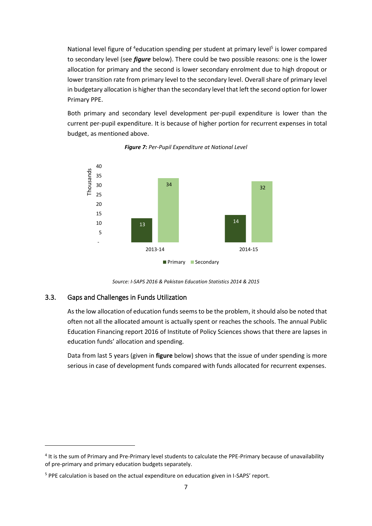National level figure of <sup>4</sup>education spending per student at primary level<sup>5</sup> is lower compared to secondary level (see *figure* below). There could be two possible reasons: one is the lower allocation for primary and the second is lower secondary enrolment due to high dropout or lower transition rate from primary level to the secondary level. Overall share of primary level in budgetary allocation is higher than the secondary level that left the second option for lower Primary PPE.

Both primary and secondary level development per-pupil expenditure is lower than the current per-pupil expenditure. It is because of higher portion for recurrent expenses in total budget, as mentioned above.

<span id="page-11-1"></span>

*Figure 7: Per-Pupil Expenditure at National Level*

*Source: I-SAPS 2016 & Pakistan Education Statistics 2014 & 2015*

#### <span id="page-11-0"></span>3.3. Gaps and Challenges in Funds Utilization

**.** 

As the low allocation of education funds seemsto be the problem, it should also be noted that often not all the allocated amount is actually spent or reaches the schools. The annual Public Education Financing report 2016 of Institute of Policy Sciences shows that there are lapses in education funds' allocation and spending.

Data from last 5 years (given in **figure** below) shows that the issue of under spending is more serious in case of development funds compared with funds allocated for recurrent expenses.

<sup>&</sup>lt;sup>4</sup> It is the sum of Primary and Pre-Primary level students to calculate the PPE-Primary because of unavailability of pre-primary and primary education budgets separately.

<sup>5</sup> PPE calculation is based on the actual expenditure on education given in I-SAPS' report.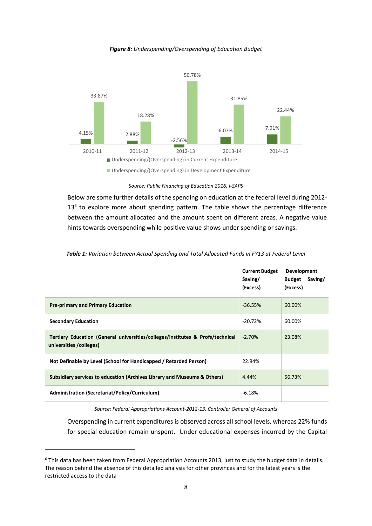*Figure 8: Underspending/Overspending of Education Budget*

<span id="page-12-0"></span>

*Source: Public Financing of Education 2016, I-SAPS*

Below are some further details of the spending on education at the federal level during 2012- 13<sup>6</sup> to explore more about spending pattern. The table shows the percentage difference between the amount allocated and the amount spent on different areas. A negative value hints towards overspending while positive value shows under spending or savings.

<span id="page-12-1"></span>

|                                                                                                            | <b>Current Budget</b> | Development                          |  |
|------------------------------------------------------------------------------------------------------------|-----------------------|--------------------------------------|--|
|                                                                                                            | Saving/<br>(Excess)   | Saving/<br><b>Budget</b><br>(Excess) |  |
| <b>Pre-primary and Primary Education</b>                                                                   | $-36.55%$             | 60.00%                               |  |
| <b>Secondary Education</b>                                                                                 | $-20.72%$             | 60.00%                               |  |
| Tertiary Education (General universities/colleges/institutes & Profs/technical<br>universities / colleges) | $-2.70%$              | 23.08%                               |  |
| Not Definable by Level (School for Handicapped / Retarded Person)                                          | 22.94%                |                                      |  |
| Subsidiary services to education (Archives Library and Museums & Others)                                   | 4.44%                 | 56.73%                               |  |
| Administration (Secretariat/Policy/Curriculum)                                                             | $-6.18%$              |                                      |  |

*Table 1: Variation between Actual Spending and Total Allocated Funds in FY13 at Federal Level*

*Source: Federal Appropriations Account-2012-13, Controller General of Accounts*

Overspending in current expenditures is observed across all school levels, whereas 22% funds for special education remain unspent. Under educational expenses incurred by the Capital

**.** 

<sup>6</sup> This data has been taken from Federal Appropriation Accounts 2013, just to study the budget data in details. The reason behind the absence of this detailed analysis for other provinces and for the latest years is the restricted access to the data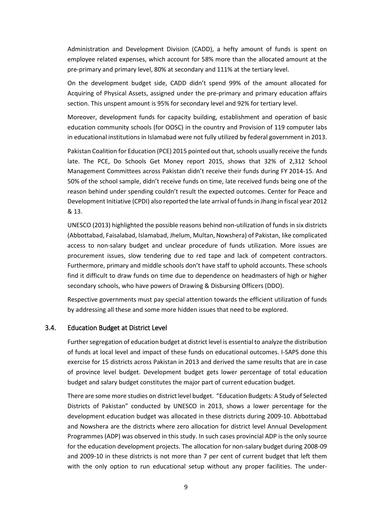Administration and Development Division (CADD), a hefty amount of funds is spent on employee related expenses, which account for 58% more than the allocated amount at the pre-primary and primary level, 80% at secondary and 111% at the tertiary level.

On the development budget side, CADD didn't spend 99% of the amount allocated for Acquiring of Physical Assets, assigned under the pre-primary and primary education affairs section. This unspent amount is 95% for secondary level and 92% for tertiary level.

Moreover, development funds for capacity building, establishment and operation of basic education community schools (for OOSC) in the country and Provision of 119 computer labs in educational institutions in Islamabad were not fully utilized by federal government in 2013.

Pakistan Coalition for Education (PCE) 2015 pointed out that, schools usually receive the funds late. The PCE, Do Schools Get Money report 2015, shows that 32% of 2,312 School Management Committees across Pakistan didn't receive their funds during FY 2014-15. And 50% of the school sample, didn't receive funds on time, late received funds being one of the reason behind under spending couldn't result the expected outcomes. Center for Peace and Development Initiative (CPDI) also reported the late arrival of funds in Jhang in fiscal year 2012 & 13.

[UNESCO](http://www.unesco.org.pk/education/documents/publications/Education_Budgets.pdf) (2013) highlighted the possible reasons behind non-utilization of funds in six districts (Abbottabad, Faisalabad, Islamabad, Jhelum, Multan, Nowshera) of Pakistan, like complicated access to non-salary budget and unclear procedure of funds utilization. More issues are procurement issues, slow tendering due to red tape and lack of competent contractors. Furthermore, primary and middle schools don't have staff to uphold accounts. These schools find it difficult to draw funds on time due to dependence on headmasters of high or higher secondary schools, who have powers of Drawing & Disbursing Officers (DDO).

Respective governments must pay special attention towards the efficient utilization of funds by addressing all these and some more hidden issues that need to be explored.

#### <span id="page-13-0"></span>3.4. Education Budget at District Level

Further segregation of education budget at district level is essential to analyze the distribution of funds at local level and impact of these funds on educational outcomes. [I-SAPS](http://i-saps.org/education_profiles) done this exercise for 15 districts across Pakistan in 2013 and derived the same results that are in case of province level budget. Development budget gets lower percentage of total education budget and salary budget constitutes the major part of current education budget.

There are some more studies on district level budget. "[Education Budgets: A Study of Selected](http://www.unesco.org.pk/education/documents/publications/Education_Budgets.pdf)  [Districts of Pakistan](http://www.unesco.org.pk/education/documents/publications/Education_Budgets.pdf)" conducted by UNESCO in 2013, shows a lower percentage for the development education budget was allocated in these districts during 2009-10. Abbottabad and Nowshera are the districts where zero allocation for district level Annual Development Programmes (ADP) was observed in this study. In such cases provincial ADP is the only source for the education development projects. The allocation for non-salary budget during 2008-09 and 2009-10 in these districts is not more than 7 per cent of current budget that left them with the only option to run educational setup without any proper facilities. The under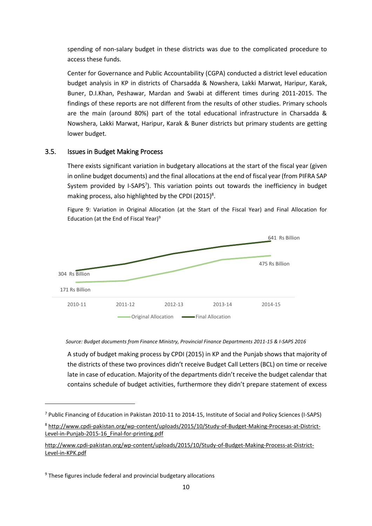spending of non-salary budget in these districts was due to the complicated procedure to access these funds.

Center for Governance and Public Accountability (CGPA) conducted a district level education budget analysis in KP in districts of [Charsadda & Nowshera,](http://www.c-gpa.org/images/publications/Education%20Budgets%20Analysis%20of%20Nowshera%20and%20Charsadda%20Districts%20From%20FY%202011-2012%20to%20FY%202013-2014.pdf) [Lakki Marwat,](http://www.c-gpa.org/images/publications/Education%20Budget%20Analysis%20-%20District%20Laki%20Marwat.pdf) [Haripur,](http://www.c-gpa.org/images/publications/Education_Budget_Analysis_District_Haripur.pdf) [Karak,](http://www.c-gpa.org/images/publications/Education%20Budget%20Analysis%20-%20District%20Karak.pdf) [Buner,](http://www.c-gpa.org/images/publications/Education%20Budget%20Analysis%20-%20District%20Buner.pdf) [D.I.Khan,](http://www.c-gpa.org/images/publications/Education%20Budget%20Analysis%20-%20District%20DI%20Khan.pdf) [Peshawar, Mardan and](http://www.c-gpa.org/images/publications/education_budget_analysis_mardan_pwr_swabi_districts_jan_2014.pdf) Swabi at different times during 2011-2015. The findings of these reports are not different from the results of other studies. Primary schools are the main (around 80%) part of the total educational infrastructure in Charsadda & Nowshera, Lakki Marwat, Haripur, Karak & Buner districts but primary students are getting lower budget.

### <span id="page-14-0"></span>3.5. Issues in Budget Making Process

There exists significant variation in budgetary allocations at the start of the fiscal year (given in online budget documents) and the final allocations at the end of fiscal year (from PIFRA SAP System provided by I-SAPS<sup>7</sup>). This variation points out towards the inefficiency in budget making process, also highlighted by the CPDI (2015)<sup>8</sup>.



Figure 9: Variation in Original Allocation (at the Start of the Fiscal Year) and Final Allocation for Education (at the End of Fiscal Year)<sup>9</sup>

#### *Source: Budget documents from Finance Ministry, Provincial Finance Departments 2011-15 & I-SAPS 2016*

A study of budget making process by CPDI (2015) in KP and th[e Punjab](http://www.cpdi-pakistan.org/archives/publication/study-of-budget-making-process-at-district-level-in-punjab/wppa_open) shows that majority of the districts of these two provinces didn't receive Budget Call Letters (BCL) on time or receive late in case of education. Majority of the departments didn't receive the budget calendar that contains schedule of budget activities, furthermore they didn't prepare statement of excess

**.** 

<sup>7</sup> Public Financing of Education in Pakistan 2010-11 to 2014-15, Institute of Social and Policy Sciences (I-SAPS)

<sup>8</sup> [http://www.cpdi-pakistan.org/wp-content/uploads/2015/10/Study-of-Budget-Making-Procesas-at-District-](http://www.cpdi-pakistan.org/wp-content/uploads/2015/10/Study-of-Budget-Making-Procesas-at-District-Level-in-Punjab-2015-16_Final-for-printing.pdf)Level-in-Punjab-2015-16 Final-for-printing.pdf

[http://www.cpdi-pakistan.org/wp-content/uploads/2015/10/Study-of-Budget-Making-Process-at-District-](http://www.cpdi-pakistan.org/wp-content/uploads/2015/10/Study-of-Budget-Making-Process-at-District-Level-in-KPK.pdf)[Level-in-KPK.pdf](http://www.cpdi-pakistan.org/wp-content/uploads/2015/10/Study-of-Budget-Making-Process-at-District-Level-in-KPK.pdf)

<sup>9</sup> These figures include federal and provincial budgetary allocations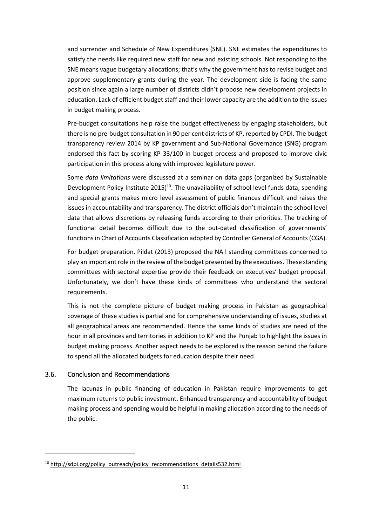and surrender and Schedule of New Expenditures (SNE). SNE estimates the expenditures to satisfy the needs like required new staff for new and existing schools. Not responding to the SNE means vague budgetary allocations; that's why the government has to revise budget and approve supplementary grants during the year. The development side is facing the same position since again a large number of districts didn't propose new development projects in education. Lack of efficient budget staff and their lower capacity are the addition to the issues in budget making process.

Pre-budget consultations help raise the budget effectiveness by engaging stakeholders, but there is no pre-budget consultation in 90 per cent districts of KP, reported by CPDI. The budget transparency review 2014 by KP government and Sub-National Governance (SNG) program endorsed this fact by scoring KP 33/100 in budget process and proposed to improve civic participation in this process along with improved legislature power.

Some *data limitations* were discussed at a seminar on data gaps (organized by Sustainable Development Policy Institute 2015)<sup>10</sup>. The unavailability of school level funds data, spending and special grants makes micro level assessment of public finances difficult and raises the issues in accountability and transparency. The district officials don't maintain the school level data that allows discretions by releasing funds according to their priorities. The tracking of functional detail becomes difficult due to the out-dated classification of governments' functions in Chart of Accounts Classification adopted by Controller General of Accounts (CGA).

For budget preparation, Pildat (2013) proposed the NA l standing committees concerned to play an important role in the review of the budget presented by the executives. These standing committees with sectoral expertise provide their feedback on executives' budget proposal. Unfortunately, we don't have these kinds of committees who understand the sectoral requirements.

This is not the complete picture of budget making process in Pakistan as geographical coverage of these studies is partial and for comprehensive understanding of issues, studies at all geographical areas are recommended. Hence the same kinds of studies are need of the hour in all provinces and territories in addition to KP and the Punjab to highlight the issues in budget making process. Another aspect needs to be explored is the reason behind the failure to spend all the allocated budgets for education despite their need.

### <span id="page-15-0"></span>3.6. Conclusion and Recommendations

**.** 

The lacunas in public financing of education in Pakistan require improvements to get maximum returns to public investment. Enhanced transparency and accountability of budget making process and spending would be helpful in making allocation according to the needs of the public.

<sup>&</sup>lt;sup>10</sup> [http://sdpi.org/policy\\_outreach/policy\\_recommendations\\_details532.html](http://sdpi.org/policy_outreach/policy_recommendations_details532.html)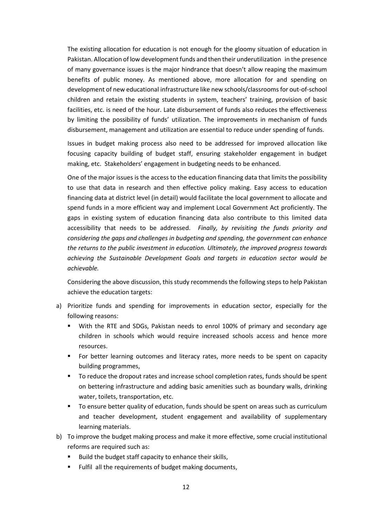The existing allocation for education is not enough for the gloomy situation of education in Pakistan. Allocation of low development funds and then their underutilization in the presence of many governance issues is the major hindrance that doesn't allow reaping the maximum benefits of public money. As mentioned above, more allocation for and spending on development of new educational infrastructure like new schools/classrooms for out-of-school children and retain the existing students in system, teachers' training, provision of basic facilities, etc. is need of the hour. Late disbursement of funds also reduces the effectiveness by limiting the possibility of funds' utilization. The improvements in mechanism of funds disbursement, management and utilization are essential to reduce under spending of funds.

Issues in budget making process also need to be addressed for improved allocation like focusing capacity building of budget staff, ensuring stakeholder engagement in budget making, etc. Stakeholders' engagement in budgeting needs to be enhanced.

One of the major issues is the access to the education financing data that limits the possibility to use that data in research and then effective policy making. Easy access to education financing data at district level (in detail) would facilitate the local government to allocate and spend funds in a more efficient way and implement Local Government Act proficiently. The gaps in existing system of education financing data also contribute to this limited data accessibility that needs to be addressed. *Finally, by revisiting the funds priority and considering the gaps and challenges in budgeting and spending, the government can enhance the returns to the public investment in education. Ultimately, the improved progress towards achieving the Sustainable Development Goals and targets in education sector would be achievable.*

Considering the above discussion, this study recommends the following steps to help Pakistan achieve the education targets:

- a) Prioritize funds and spending for improvements in education sector, especially for the following reasons:
	- With the RTE and SDGs, Pakistan needs to enrol 100% of primary and secondary age children in schools which would require increased schools access and hence more resources.
	- For better learning outcomes and literacy rates, more needs to be spent on capacity building programmes,
	- To reduce the dropout rates and increase school completion rates, funds should be spent on bettering infrastructure and adding basic amenities such as boundary walls, drinking water, toilets, transportation, etc.
	- To ensure better quality of education, funds should be spent on areas such as curriculum and teacher development, student engagement and availability of supplementary learning materials.
- b) To improve the budget making process and make it more effective, some crucial institutional reforms are required such as:
	- Build the budget staff capacity to enhance their skills,
	- Fulfil all the requirements of budget making documents,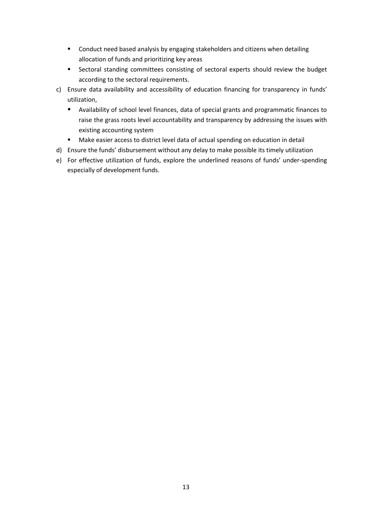- **EXP** Conduct need based analysis by engaging stakeholders and citizens when detailing allocation of funds and prioritizing key areas
- Sectoral standing committees consisting of sectoral experts should review the budget according to the sectoral requirements.
- c) Ensure data availability and accessibility of education financing for transparency in funds' utilization,
	- Availability of school level finances, data of special grants and programmatic finances to raise the grass roots level accountability and transparency by addressing the issues with existing accounting system
	- Make easier access to district level data of actual spending on education in detail
- d) Ensure the funds' disbursement without any delay to make possible its timely utilization
- e) For effective utilization of funds, explore the underlined reasons of funds' under-spending especially of development funds.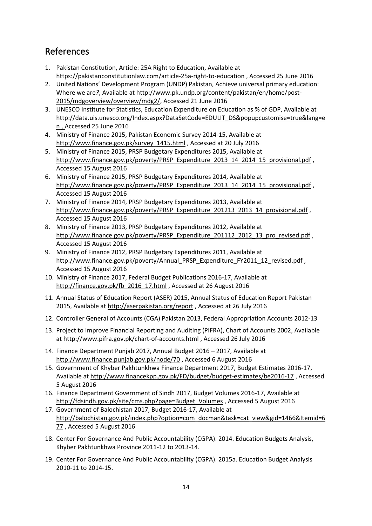## <span id="page-18-0"></span>References

- 1. Pakistan Constitution, Article: 25A Right to Education, Available at <https://pakistanconstitutionlaw.com/article-25a-right-to-education> , Accessed 25 June 2016
- 2. United Nations' Development Program (UNDP) Pakistan, Achieve universal primary education: Where we are*?*, Available at [http://www.pk.undp.org/content/pakistan/en/home/post-](http://www.pk.undp.org/content/pakistan/en/home/post-2015/mdgoverview/overview/mdg2/)[2015/mdgoverview/overview/mdg2/,](http://www.pk.undp.org/content/pakistan/en/home/post-2015/mdgoverview/overview/mdg2/) Accessed 21 June 2016
- 3. UNESCO Institute for Statistics, Education Expenditure on Education as % of GDP, Available at [http://data.uis.unesco.org/Index.aspx?DataSetCode=EDULIT\\_DS&popupcustomise=true&lang=e](http://data.uis.unesco.org/Index.aspx?DataSetCode=EDULIT_DS&popupcustomise=true&lang=en) [n](http://data.uis.unesco.org/Index.aspx?DataSetCode=EDULIT_DS&popupcustomise=true&lang=en) , Accessed 25 June 2016
- 4. Ministry of Finance 2015, Pakistan Economic Survey 2014-15, Available at [http://www.finance.gov.pk/survey\\_1415.html](http://www.finance.gov.pk/survey_1415.html) , Accessed at 20 July 2016
- 5. Ministry of Finance 2015, PRSP Budgetary Expenditures 2015, Available at [http://www.finance.gov.pk/poverty/PRSP\\_Expenditure\\_2013\\_14\\_2014\\_15\\_provisional.pdf](http://www.finance.gov.pk/poverty/PRSP_Expenditure_2013_14_2014_15_provisional.pdf) , Accessed 15 August 2016
- 6. Ministry of Finance 2015, PRSP Budgetary Expenditures 2014, Available at [http://www.finance.gov.pk/poverty/PRSP\\_Expenditure\\_2013\\_14\\_2014\\_15\\_provisional.pdf](http://www.finance.gov.pk/poverty/PRSP_Expenditure_2013_14_2014_15_provisional.pdf) , Accessed 15 August 2016
- 7. Ministry of Finance 2014, PRSP Budgetary Expenditures 2013, Available at [http://www.finance.gov.pk/poverty/PRSP\\_Expenditure\\_201213\\_2013\\_14\\_provisional.pdf](http://www.finance.gov.pk/poverty/PRSP_Expenditure_201213_2013_14_provisional.pdf), Accessed 15 August 2016
- 8. Ministry of Finance 2013, PRSP Budgetary Expenditures 2012, Available at [http://www.finance.gov.pk/poverty/PRSP\\_Expenditure\\_201112\\_2012\\_13\\_pro\\_revised.pdf](http://www.finance.gov.pk/poverty/PRSP_Expenditure_201112_2012_13_pro_revised.pdf) , Accessed 15 August 2016
- 9. Ministry of Finance 2012, PRSP Budgetary Expenditures 2011, Available at [http://www.finance.gov.pk/poverty/Annual\\_PRSP\\_Expenditure\\_FY2011\\_12\\_revised.pdf](http://www.finance.gov.pk/poverty/Annual_PRSP_Expenditure_FY2011_12_revised.pdf), Accessed 15 August 2016
- 10. Ministry of Finance 2017, Federal Budget Publications 2016-17, Available at [http://finance.gov.pk/fb\\_2016\\_17.html](http://finance.gov.pk/fb_2016_17.html) , Accessed at 26 August 2016
- 11. Annual Status of Education Report (ASER) 2015, Annual Status of Education Report Pakistan 2015, Available at<http://aserpakistan.org/report> , Accessed at 26 July 2016
- 12. Controller General of Accounts (CGA) Pakistan 2013, Federal Appropriation Accounts 2012-13
- 13. Project to Improve Financial Reporting and Auditing (PIFRA), Chart of Accounts 2002, Available a[t http://www.pifra.gov.pk/chart-of-accounts.html](http://www.pifra.gov.pk/chart-of-accounts.html) , Accessed 26 July 2016
- 14. Finance Department Punjab 2017, Annual Budget 2016 2017, Available at <http://www.finance.punjab.gov.pk/node/70> , Accessed 6 August 2016
- 15. Government of Khyber Pakhtunkhwa Finance Department 2017, Budget Estimates 2016-17, Available a[t http://www.financekpp.gov.pk/FD/budget/budget-estimates/be2016-17](http://www.financekpp.gov.pk/FD/budget/budget-estimates/be2016-17) , Accessed 5 August 2016
- 16. Finance Department Government of Sindh 2017, Budget Volumes 2016-17, Available at [http://fdsindh.gov.pk/site/cms.php?page=Budget\\_Volumes](http://fdsindh.gov.pk/site/cms.php?page=Budget_Volumes) , Accessed 5 August 2016
- 17. Government of Balochistan 2017, Budget 2016-17, Available at [http://balochistan.gov.pk/index.php?option=com\\_docman&task=cat\\_view&gid=1466&Itemid=6](http://balochistan.gov.pk/index.php?option=com_docman&task=cat_view&gid=1466&Itemid=677) [77](http://balochistan.gov.pk/index.php?option=com_docman&task=cat_view&gid=1466&Itemid=677) , Accessed 5 August 2016
- 18. Center For Governance And Public Accountability (CGPA). 2014. Education Budgets Analysis, Khyber Pakhtunkhwa Province 2011-12 to 2013-14.
- 19. Center For Governance And Public Accountability (CGPA). 2015a. Education Budget Analysis 2010-11 to 2014-15.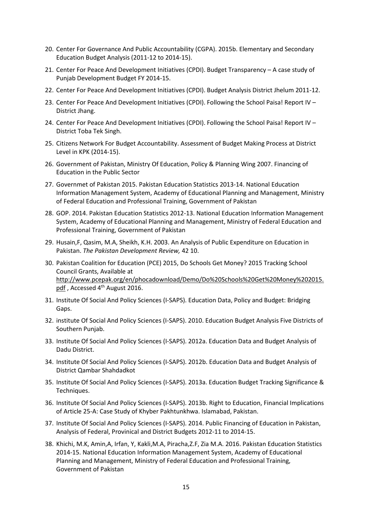- 20. Center For Governance And Public Accountability (CGPA). 2015b. Elementary and Secondary Education Budget Analysis (2011-12 to 2014-15).
- 21. Center For Peace And Development Initiatives (CPDI). Budget Transparency A case study of Punjab Development Budget FY 2014-15.
- 22. Center For Peace And Development Initiatives (CPDI). Budget Analysis District Jhelum 2011-12.
- 23. Center For Peace And Development Initiatives (CPDI). Following the School Paisa! Report IV District Jhang.
- 24. Center For Peace And Development Initiatives (CPDI). Following the School Paisa! Report IV District Toba Tek Singh.
- 25. Citizens Network For Budget Accountability. Assessment of Budget Making Process at District Level in KPK (2014-15).
- 26. Government of Pakistan, Ministry Of Education, Policy & Planning Wing 2007. Financing of Education in the Public Sector
- 27. Governmet of Pakistan 2015. Pakistan Education Statistics 2013-14. National Education Information Management System, Academy of Educational Planning and Management, Ministry of Federal Education and Professional Training, Government of Pakistan
- 28. GOP. 2014. Pakistan Education Statistics 2012-13. National Education Information Management System, Academy of Educational Planning and Management, Ministry of Federal Education and Professional Training, Government of Pakistan
- 29. Husain,F, Qasim, M.A, Sheikh, K.H. 2003. An Analysis of Public Expenditure on Education in Pakistan. *The Pakistan Development Review,* 42 10.
- 30. Pakistan Coalition for Education (PCE) 2015, Do Schools Get Money? 2015 Tracking School Council Grants, Available at [http://www.pcepak.org/en/phocadownload/Demo/Do%20Schools%20Get%20Money%202015.](http://www.pcepak.org/en/phocadownload/Demo/Do%20Schools%20Get%20Money%202015.pdf) [pdf](http://www.pcepak.org/en/phocadownload/Demo/Do%20Schools%20Get%20Money%202015.pdf), Accessed 4<sup>th</sup> August 2016.
- 31. Institute Of Social And Policy Sciences (I-SAPS). Education Data, Policy and Budget: Bridging Gaps.
- 32. institute Of Social And Policy Sciences (I-SAPS). 2010. Education Budget Analysis Five Districts of Southern Punjab.
- 33. Institute Of Social And Policy Sciences (I-SAPS). 2012a. Education Data and Budget Analysis of Dadu District.
- 34. Institute Of Social And Policy Sciences (I-SAPS). 2012b. Education Data and Budget Analysis of District Qambar Shahdadkot
- 35. Institute Of Social And Policy Sciences (I-SAPS). 2013a. Education Budget Tracking Significance & Techniques.
- 36. Institute Of Social And Policy Sciences (I-SAPS). 2013b. Right to Education, Financial Implications of Article 25-A: Case Study of Khyber Pakhtunkhwa. Islamabad, Pakistan.
- 37. Institute Of Social And Policy Sciences (I-SAPS). 2014. Public Financing of Education in Pakistan, Analysis of Federal, Provinical and District Budgets 2012-11 to 2014-15.
- 38. Khichi, M.K, Amin,A, Irfan, Y, Kakli,M.A, Piracha,Z.F, Zia M.A. 2016. Pakistan Education Statistics 2014-15. National Education Information Management System, Academy of Educational Planning and Management, Ministry of Federal Education and Professional Training, Government of Pakistan